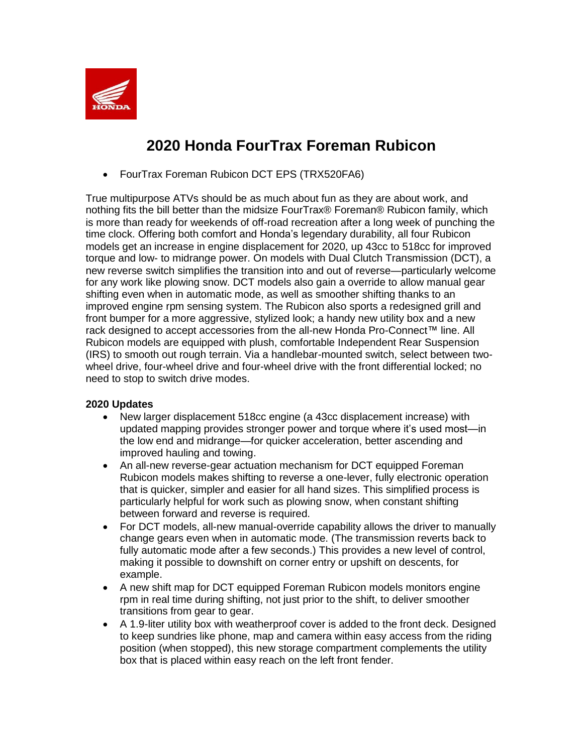

# **2020 Honda FourTrax Foreman Rubicon**

• FourTrax Foreman Rubicon DCT EPS (TRX520FA6)

True multipurpose ATVs should be as much about fun as they are about work, and nothing fits the bill better than the midsize FourTrax® Foreman® Rubicon family, which is more than ready for weekends of off-road recreation after a long week of punching the time clock. Offering both comfort and Honda's legendary durability, all four Rubicon models get an increase in engine displacement for 2020, up 43cc to 518cc for improved torque and low- to midrange power. On models with Dual Clutch Transmission (DCT), a new reverse switch simplifies the transition into and out of reverse—particularly welcome for any work like plowing snow. DCT models also gain a override to allow manual gear shifting even when in automatic mode, as well as smoother shifting thanks to an improved engine rpm sensing system. The Rubicon also sports a redesigned grill and front bumper for a more aggressive, stylized look; a handy new utility box and a new rack designed to accept accessories from the all-new Honda Pro-Connect™ line. All Rubicon models are equipped with plush, comfortable Independent Rear Suspension (IRS) to smooth out rough terrain. Via a handlebar-mounted switch, select between twowheel drive, four-wheel drive and four-wheel drive with the front differential locked; no need to stop to switch drive modes.

## **2020 Updates**

- New larger displacement 518cc engine (a 43cc displacement increase) with updated mapping provides stronger power and torque where it's used most—in the low end and midrange—for quicker acceleration, better ascending and improved hauling and towing.
- An all-new reverse-gear actuation mechanism for DCT equipped Foreman Rubicon models makes shifting to reverse a one-lever, fully electronic operation that is quicker, simpler and easier for all hand sizes. This simplified process is particularly helpful for work such as plowing snow, when constant shifting between forward and reverse is required.
- For DCT models, all-new manual-override capability allows the driver to manually change gears even when in automatic mode. (The transmission reverts back to fully automatic mode after a few seconds.) This provides a new level of control, making it possible to downshift on corner entry or upshift on descents, for example.
- A new shift map for DCT equipped Foreman Rubicon models monitors engine rpm in real time during shifting, not just prior to the shift, to deliver smoother transitions from gear to gear.
- A 1.9-liter utility box with weatherproof cover is added to the front deck. Designed to keep sundries like phone, map and camera within easy access from the riding position (when stopped), this new storage compartment complements the utility box that is placed within easy reach on the left front fender.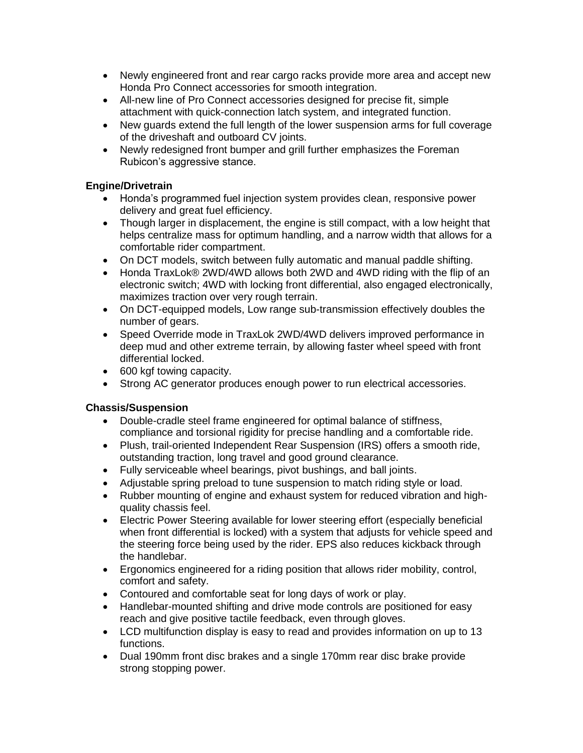- Newly engineered front and rear cargo racks provide more area and accept new Honda Pro Connect accessories for smooth integration.
- All-new line of Pro Connect accessories designed for precise fit, simple attachment with quick-connection latch system, and integrated function.
- New guards extend the full length of the lower suspension arms for full coverage of the driveshaft and outboard CV joints.
- Newly redesigned front bumper and grill further emphasizes the Foreman Rubicon's aggressive stance.

## **Engine/Drivetrain**

- Honda's programmed fuel injection system provides clean, responsive power delivery and great fuel efficiency.
- Though larger in displacement, the engine is still compact, with a low height that helps centralize mass for optimum handling, and a narrow width that allows for a comfortable rider compartment.
- On DCT models, switch between fully automatic and manual paddle shifting.
- Honda TraxLok® 2WD/4WD allows both 2WD and 4WD riding with the flip of an electronic switch; 4WD with locking front differential, also engaged electronically, maximizes traction over very rough terrain.
- On DCT-equipped models, Low range sub-transmission effectively doubles the number of gears.
- Speed Override mode in TraxLok 2WD/4WD delivers improved performance in deep mud and other extreme terrain, by allowing faster wheel speed with front differential locked.
- 600 kgf towing capacity.
- Strong AC generator produces enough power to run electrical accessories.

## **Chassis/Suspension**

- Double-cradle steel frame engineered for optimal balance of stiffness, compliance and torsional rigidity for precise handling and a comfortable ride.
- Plush, trail-oriented Independent Rear Suspension (IRS) offers a smooth ride, outstanding traction, long travel and good ground clearance.
- Fully serviceable wheel bearings, pivot bushings, and ball joints.
- Adjustable spring preload to tune suspension to match riding style or load.
- Rubber mounting of engine and exhaust system for reduced vibration and highquality chassis feel.
- Electric Power Steering available for lower steering effort (especially beneficial when front differential is locked) with a system that adjusts for vehicle speed and the steering force being used by the rider. EPS also reduces kickback through the handlebar.
- Ergonomics engineered for a riding position that allows rider mobility, control, comfort and safety.
- Contoured and comfortable seat for long days of work or play.
- Handlebar-mounted shifting and drive mode controls are positioned for easy reach and give positive tactile feedback, even through gloves.
- LCD multifunction display is easy to read and provides information on up to 13 functions.
- Dual 190mm front disc brakes and a single 170mm rear disc brake provide strong stopping power.